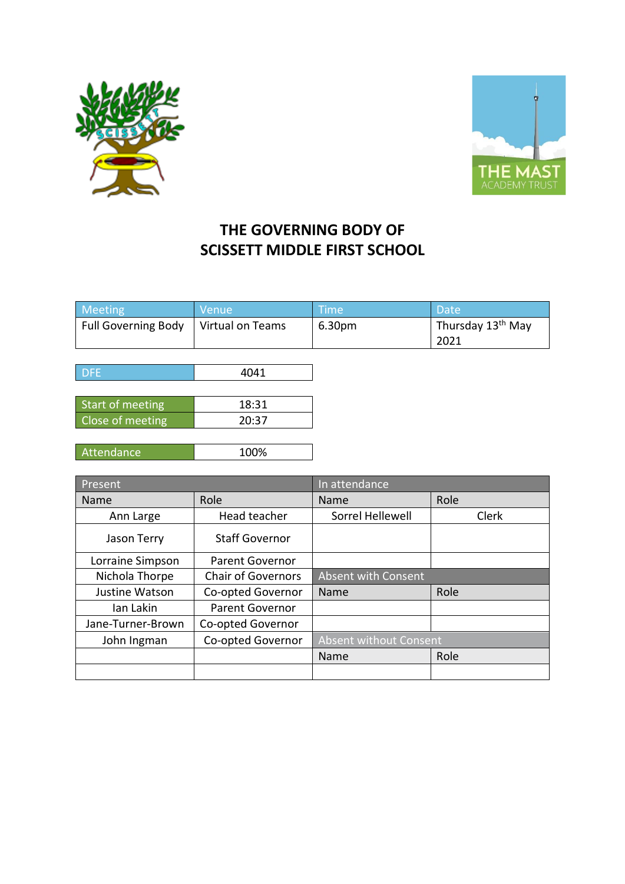



## **THE GOVERNING BODY OF SCISSETT MIDDLE FIRST SCHOOL**

| Meeting             | <b>Nenue</b>     | Time   | Date                          |
|---------------------|------------------|--------|-------------------------------|
| Full Governing Body | Virtual on Teams | 6.30pm | Thursday 13 <sup>th</sup> May |
|                     |                  |        | 2021                          |

| l DFE.           | 4041  |
|------------------|-------|
|                  |       |
| Start of meeting | 18:31 |
| Close of meeting | 20:37 |
|                  |       |

| 1000<br>'Attendance.<br>70 |
|----------------------------|
|----------------------------|

| Present           |                           | In attendance              |       |
|-------------------|---------------------------|----------------------------|-------|
| Name              | Role                      | Name                       | Role  |
| Ann Large         | Head teacher              | Sorrel Hellewell           | Clerk |
| Jason Terry       | <b>Staff Governor</b>     |                            |       |
| Lorraine Simpson  | <b>Parent Governor</b>    |                            |       |
| Nichola Thorpe    | <b>Chair of Governors</b> | <b>Absent with Consent</b> |       |
| Justine Watson    | Co-opted Governor         | Name                       | Role  |
| Ian Lakin         | <b>Parent Governor</b>    |                            |       |
| Jane-Turner-Brown | Co-opted Governor         |                            |       |
| John Ingman       | Co-opted Governor         | Absent without Consent     |       |
|                   |                           | Name                       | Role  |
|                   |                           |                            |       |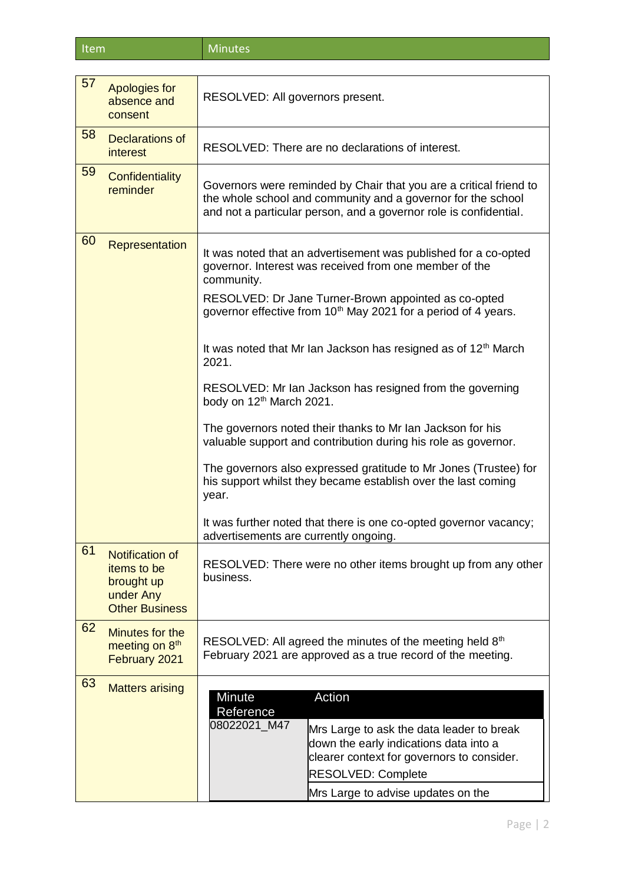Item Minutes

| 57 | <b>Apologies for</b><br>absence and<br>consent                                            | RESOLVED: All governors present.                                                                                                                                                                                                                                                                                                                                                                                                                                                                                                                                                                                                                                                                                                                                                                                            |  |
|----|-------------------------------------------------------------------------------------------|-----------------------------------------------------------------------------------------------------------------------------------------------------------------------------------------------------------------------------------------------------------------------------------------------------------------------------------------------------------------------------------------------------------------------------------------------------------------------------------------------------------------------------------------------------------------------------------------------------------------------------------------------------------------------------------------------------------------------------------------------------------------------------------------------------------------------------|--|
| 58 | Declarations of<br><i>interest</i>                                                        | RESOLVED: There are no declarations of interest.                                                                                                                                                                                                                                                                                                                                                                                                                                                                                                                                                                                                                                                                                                                                                                            |  |
| 59 | Confidentiality<br>reminder                                                               | Governors were reminded by Chair that you are a critical friend to<br>the whole school and community and a governor for the school<br>and not a particular person, and a governor role is confidential.                                                                                                                                                                                                                                                                                                                                                                                                                                                                                                                                                                                                                     |  |
| 60 | Representation                                                                            | It was noted that an advertisement was published for a co-opted<br>governor. Interest was received from one member of the<br>community.<br>RESOLVED: Dr Jane Turner-Brown appointed as co-opted<br>governor effective from 10 <sup>th</sup> May 2021 for a period of 4 years.<br>It was noted that Mr Ian Jackson has resigned as of 12 <sup>th</sup> March<br>2021.<br>RESOLVED: Mr Ian Jackson has resigned from the governing<br>body on 12 <sup>th</sup> March 2021.<br>The governors noted their thanks to Mr Ian Jackson for his<br>valuable support and contribution during his role as governor.<br>The governors also expressed gratitude to Mr Jones (Trustee) for<br>his support whilst they became establish over the last coming<br>year.<br>It was further noted that there is one co-opted governor vacancy; |  |
| 61 | <b>Notification of</b><br>items to be<br>brought up<br>under Any<br><b>Other Business</b> | advertisements are currently ongoing.<br>RESOLVED: There were no other items brought up from any other<br>business.                                                                                                                                                                                                                                                                                                                                                                                                                                                                                                                                                                                                                                                                                                         |  |
| 62 | Minutes for the<br>meeting on 8 <sup>th</sup><br>February 2021                            | RESOLVED: All agreed the minutes of the meeting held 8 <sup>th</sup><br>February 2021 are approved as a true record of the meeting.                                                                                                                                                                                                                                                                                                                                                                                                                                                                                                                                                                                                                                                                                         |  |
| 63 | <b>Matters arising</b>                                                                    | Action<br>Minute<br>Reference<br>08022021_M47<br>Mrs Large to ask the data leader to break<br>down the early indications data into a<br>clearer context for governors to consider.<br><b>RESOLVED: Complete</b><br>Mrs Large to advise updates on the                                                                                                                                                                                                                                                                                                                                                                                                                                                                                                                                                                       |  |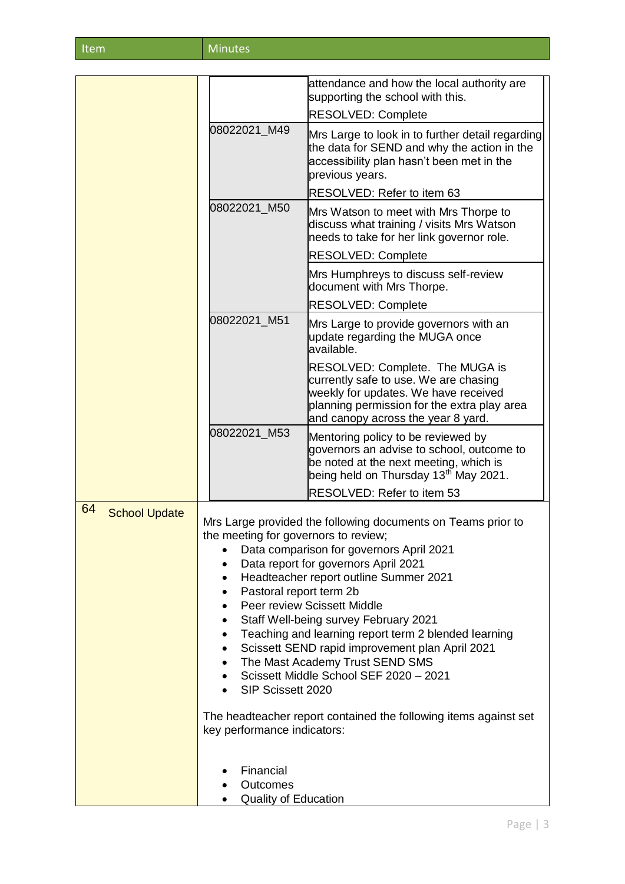| Item | <b>Minutes</b> |
|------|----------------|
|------|----------------|

|                            |                                                                                                                                                                                                                                                                                                                                                                                                                                                                                                                                                                                                                                                                         | attendance and how the local authority are<br>supporting the school with this.                                                                                                                        |
|----------------------------|-------------------------------------------------------------------------------------------------------------------------------------------------------------------------------------------------------------------------------------------------------------------------------------------------------------------------------------------------------------------------------------------------------------------------------------------------------------------------------------------------------------------------------------------------------------------------------------------------------------------------------------------------------------------------|-------------------------------------------------------------------------------------------------------------------------------------------------------------------------------------------------------|
|                            |                                                                                                                                                                                                                                                                                                                                                                                                                                                                                                                                                                                                                                                                         | <b>RESOLVED: Complete</b>                                                                                                                                                                             |
|                            | 08022021 M49                                                                                                                                                                                                                                                                                                                                                                                                                                                                                                                                                                                                                                                            | Mrs Large to look in to further detail regarding<br>the data for SEND and why the action in the<br>accessibility plan hasn't been met in the<br>previous years.                                       |
|                            |                                                                                                                                                                                                                                                                                                                                                                                                                                                                                                                                                                                                                                                                         | RESOLVED: Refer to item 63                                                                                                                                                                            |
|                            | 08022021_M50                                                                                                                                                                                                                                                                                                                                                                                                                                                                                                                                                                                                                                                            | Mrs Watson to meet with Mrs Thorpe to<br>discuss what training / visits Mrs Watson<br>needs to take for her link governor role.                                                                       |
|                            |                                                                                                                                                                                                                                                                                                                                                                                                                                                                                                                                                                                                                                                                         | <b>RESOLVED: Complete</b>                                                                                                                                                                             |
|                            |                                                                                                                                                                                                                                                                                                                                                                                                                                                                                                                                                                                                                                                                         | Mrs Humphreys to discuss self-review<br>document with Mrs Thorpe.                                                                                                                                     |
|                            |                                                                                                                                                                                                                                                                                                                                                                                                                                                                                                                                                                                                                                                                         | <b>RESOLVED: Complete</b>                                                                                                                                                                             |
|                            | 08022021_M51                                                                                                                                                                                                                                                                                                                                                                                                                                                                                                                                                                                                                                                            | Mrs Large to provide governors with an<br>update regarding the MUGA once<br>available.                                                                                                                |
|                            |                                                                                                                                                                                                                                                                                                                                                                                                                                                                                                                                                                                                                                                                         | RESOLVED: Complete. The MUGA is<br>currently safe to use. We are chasing<br>weekly for updates. We have received<br>planning permission for the extra play area<br>and canopy across the year 8 yard. |
|                            | 08022021_M53                                                                                                                                                                                                                                                                                                                                                                                                                                                                                                                                                                                                                                                            | Mentoring policy to be reviewed by<br>governors an advise to school, outcome to<br>be noted at the next meeting, which is<br>being held on Thursday 13 <sup>th</sup> May 2021.                        |
|                            |                                                                                                                                                                                                                                                                                                                                                                                                                                                                                                                                                                                                                                                                         | RESOLVED: Refer to item 53                                                                                                                                                                            |
| 64<br><b>School Update</b> | Mrs Large provided the following documents on Teams prior to<br>the meeting for governors to review;<br>Data comparison for governors April 2021<br>Data report for governors April 2021<br>Headteacher report outline Summer 2021<br>Pastoral report term 2b<br>Peer review Scissett Middle<br>Staff Well-being survey February 2021<br>Teaching and learning report term 2 blended learning<br>$\bullet$<br>Scissett SEND rapid improvement plan April 2021<br>٠<br>The Mast Academy Trust SEND SMS<br>Scissett Middle School SEF 2020 - 2021<br>SIP Scissett 2020<br>The headteacher report contained the following items against set<br>key performance indicators: |                                                                                                                                                                                                       |
|                            | Financial<br>Outcomes<br><b>Quality of Education</b>                                                                                                                                                                                                                                                                                                                                                                                                                                                                                                                                                                                                                    |                                                                                                                                                                                                       |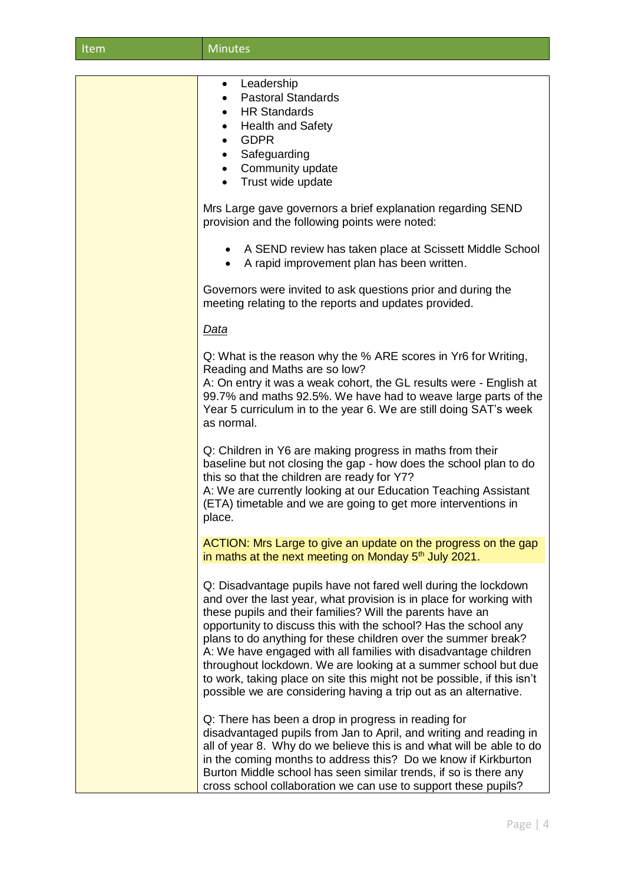| Item | <b>Minutes</b>                                                                                                                                                                                                                                                                                                                                                                                                                                                                                                                                                                                                              |  |
|------|-----------------------------------------------------------------------------------------------------------------------------------------------------------------------------------------------------------------------------------------------------------------------------------------------------------------------------------------------------------------------------------------------------------------------------------------------------------------------------------------------------------------------------------------------------------------------------------------------------------------------------|--|
|      |                                                                                                                                                                                                                                                                                                                                                                                                                                                                                                                                                                                                                             |  |
|      | Leadership<br>$\bullet$<br><b>Pastoral Standards</b><br><b>HR Standards</b><br><b>Health and Safety</b><br>$\bullet$<br><b>GDPR</b><br>$\bullet$<br>Safeguarding<br>$\bullet$<br>Community update<br>Trust wide update                                                                                                                                                                                                                                                                                                                                                                                                      |  |
|      | Mrs Large gave governors a brief explanation regarding SEND<br>provision and the following points were noted:                                                                                                                                                                                                                                                                                                                                                                                                                                                                                                               |  |
|      | A SEND review has taken place at Scissett Middle School<br>A rapid improvement plan has been written.<br>$\bullet$                                                                                                                                                                                                                                                                                                                                                                                                                                                                                                          |  |
|      | Governors were invited to ask questions prior and during the<br>meeting relating to the reports and updates provided.                                                                                                                                                                                                                                                                                                                                                                                                                                                                                                       |  |
|      | <u>Data</u>                                                                                                                                                                                                                                                                                                                                                                                                                                                                                                                                                                                                                 |  |
|      | Q: What is the reason why the % ARE scores in Yr6 for Writing,<br>Reading and Maths are so low?<br>A: On entry it was a weak cohort, the GL results were - English at<br>99.7% and maths 92.5%. We have had to weave large parts of the<br>Year 5 curriculum in to the year 6. We are still doing SAT's week<br>as normal.                                                                                                                                                                                                                                                                                                  |  |
|      | Q: Children in Y6 are making progress in maths from their<br>baseline but not closing the gap - how does the school plan to do<br>this so that the children are ready for Y7?<br>A: We are currently looking at our Education Teaching Assistant<br>(ETA) timetable and we are going to get more interventions in<br>place.                                                                                                                                                                                                                                                                                                 |  |
|      | ACTION: Mrs Large to give an update on the progress on the gap<br>in maths at the next meeting on Monday 5 <sup>th</sup> July 2021.                                                                                                                                                                                                                                                                                                                                                                                                                                                                                         |  |
|      | Q: Disadvantage pupils have not fared well during the lockdown<br>and over the last year, what provision is in place for working with<br>these pupils and their families? Will the parents have an<br>opportunity to discuss this with the school? Has the school any<br>plans to do anything for these children over the summer break?<br>A: We have engaged with all families with disadvantage children<br>throughout lockdown. We are looking at a summer school but due<br>to work, taking place on site this might not be possible, if this isn't<br>possible we are considering having a trip out as an alternative. |  |
|      | Q: There has been a drop in progress in reading for<br>disadvantaged pupils from Jan to April, and writing and reading in<br>all of year 8. Why do we believe this is and what will be able to do<br>in the coming months to address this? Do we know if Kirkburton<br>Burton Middle school has seen similar trends, if so is there any<br>cross school collaboration we can use to support these pupils?                                                                                                                                                                                                                   |  |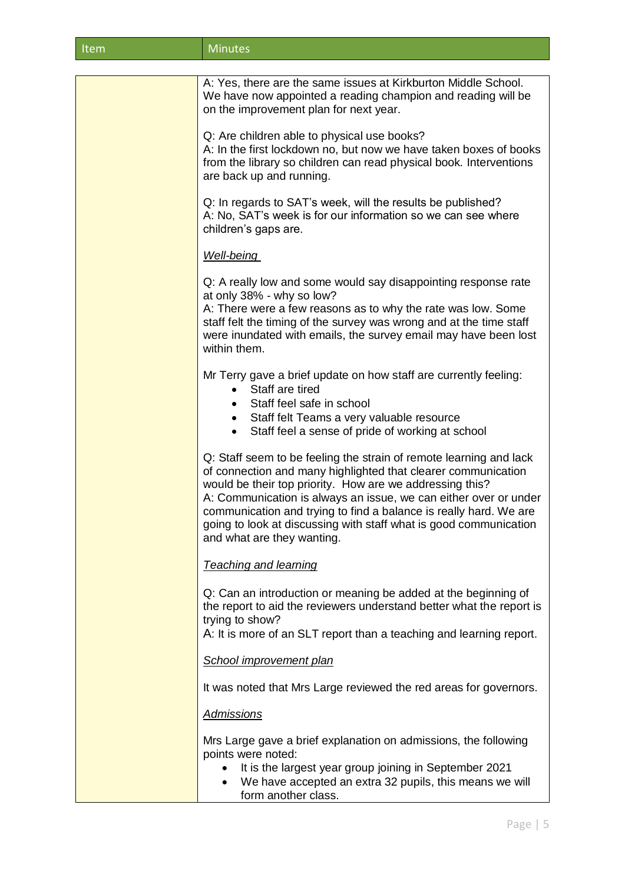| Item | Minutes |
|------|---------|
|------|---------|

| A: Yes, there are the same issues at Kirkburton Middle School.<br>We have now appointed a reading champion and reading will be<br>on the improvement plan for next year.                                                                                                                                                                                                                                                                    |
|---------------------------------------------------------------------------------------------------------------------------------------------------------------------------------------------------------------------------------------------------------------------------------------------------------------------------------------------------------------------------------------------------------------------------------------------|
| Q: Are children able to physical use books?<br>A: In the first lockdown no, but now we have taken boxes of books<br>from the library so children can read physical book. Interventions<br>are back up and running.                                                                                                                                                                                                                          |
| Q: In regards to SAT's week, will the results be published?<br>A: No, SAT's week is for our information so we can see where<br>children's gaps are.                                                                                                                                                                                                                                                                                         |
| <b>Well-being</b>                                                                                                                                                                                                                                                                                                                                                                                                                           |
| Q: A really low and some would say disappointing response rate<br>at only 38% - why so low?                                                                                                                                                                                                                                                                                                                                                 |
| A: There were a few reasons as to why the rate was low. Some<br>staff felt the timing of the survey was wrong and at the time staff<br>were inundated with emails, the survey email may have been lost<br>within them.                                                                                                                                                                                                                      |
| Mr Terry gave a brief update on how staff are currently feeling:<br>Staff are tired<br>$\bullet$<br>Staff feel safe in school<br>$\bullet$<br>Staff felt Teams a very valuable resource                                                                                                                                                                                                                                                     |
| Staff feel a sense of pride of working at school                                                                                                                                                                                                                                                                                                                                                                                            |
| Q: Staff seem to be feeling the strain of remote learning and lack<br>of connection and many highlighted that clearer communication<br>would be their top priority. How are we addressing this?<br>A: Communication is always an issue, we can either over or under<br>communication and trying to find a balance is really hard. We are<br>going to look at discussing with staff what is good communication<br>and what are they wanting. |
| <b>Teaching and learning</b>                                                                                                                                                                                                                                                                                                                                                                                                                |
| Q: Can an introduction or meaning be added at the beginning of<br>the report to aid the reviewers understand better what the report is<br>trying to show?                                                                                                                                                                                                                                                                                   |
| A: It is more of an SLT report than a teaching and learning report.                                                                                                                                                                                                                                                                                                                                                                         |
| School improvement plan                                                                                                                                                                                                                                                                                                                                                                                                                     |
| It was noted that Mrs Large reviewed the red areas for governors.                                                                                                                                                                                                                                                                                                                                                                           |
| <b>Admissions</b>                                                                                                                                                                                                                                                                                                                                                                                                                           |
| Mrs Large gave a brief explanation on admissions, the following<br>points were noted:                                                                                                                                                                                                                                                                                                                                                       |
| It is the largest year group joining in September 2021<br>$\bullet$<br>We have accepted an extra 32 pupils, this means we will<br>$\bullet$<br>form another class.                                                                                                                                                                                                                                                                          |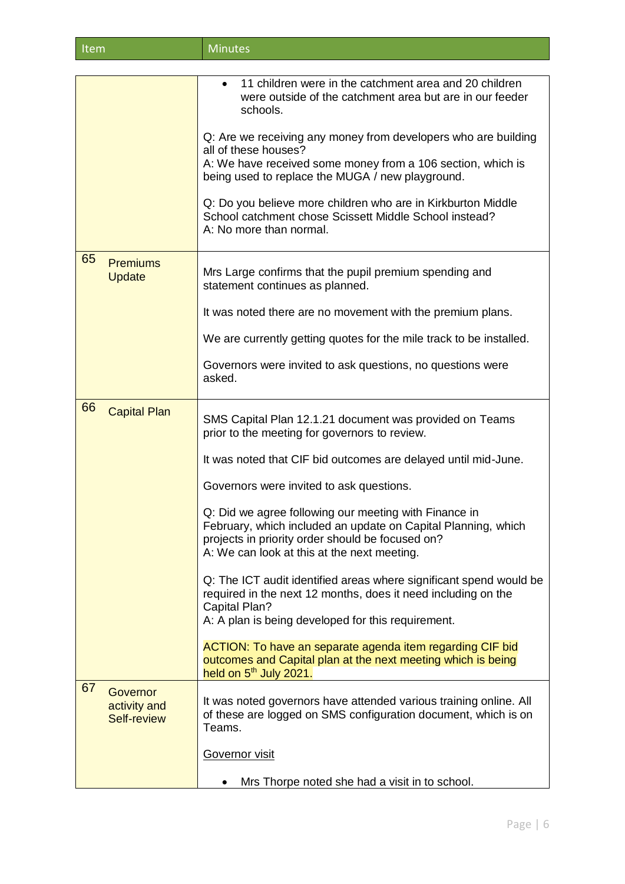| Item | Minutes <sup>'</sup> |
|------|----------------------|
|      |                      |

|    |                                         | 11 children were in the catchment area and 20 children<br>were outside of the catchment area but are in our feeder<br>schools.                                                                                            |
|----|-----------------------------------------|---------------------------------------------------------------------------------------------------------------------------------------------------------------------------------------------------------------------------|
|    |                                         | Q: Are we receiving any money from developers who are building<br>all of these houses?                                                                                                                                    |
|    |                                         | A: We have received some money from a 106 section, which is<br>being used to replace the MUGA / new playground.                                                                                                           |
|    |                                         | Q: Do you believe more children who are in Kirkburton Middle<br>School catchment chose Scissett Middle School instead?<br>A: No more than normal.                                                                         |
| 65 | <b>Premiums</b><br><b>Update</b>        | Mrs Large confirms that the pupil premium spending and<br>statement continues as planned.                                                                                                                                 |
|    |                                         | It was noted there are no movement with the premium plans.                                                                                                                                                                |
|    |                                         | We are currently getting quotes for the mile track to be installed.                                                                                                                                                       |
|    |                                         | Governors were invited to ask questions, no questions were<br>asked.                                                                                                                                                      |
| 66 | <b>Capital Plan</b>                     | SMS Capital Plan 12.1.21 document was provided on Teams<br>prior to the meeting for governors to review.                                                                                                                  |
|    |                                         | It was noted that CIF bid outcomes are delayed until mid-June.                                                                                                                                                            |
|    |                                         | Governors were invited to ask questions.                                                                                                                                                                                  |
|    |                                         | Q: Did we agree following our meeting with Finance in<br>February, which included an update on Capital Planning, which<br>projects in priority order should be focused on?<br>A: We can look at this at the next meeting. |
|    |                                         | Q: The ICT audit identified areas where significant spend would be<br>required in the next 12 months, does it need including on the<br>Capital Plan?<br>A: A plan is being developed for this requirement.                |
|    |                                         | ACTION: To have an separate agenda item regarding CIF bid<br>outcomes and Capital plan at the next meeting which is being<br>held on 5 <sup>th</sup> July 2021.                                                           |
| 67 | Governor<br>activity and<br>Self-review | It was noted governors have attended various training online. All<br>of these are logged on SMS configuration document, which is on<br>Teams.                                                                             |
|    |                                         | Governor visit                                                                                                                                                                                                            |
|    |                                         | Mrs Thorpe noted she had a visit in to school.                                                                                                                                                                            |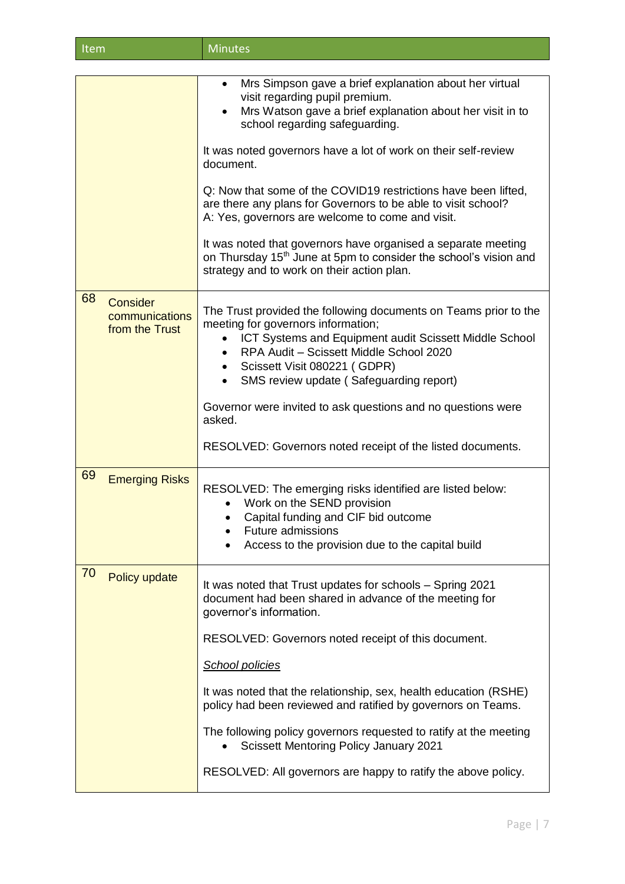| ltem <sup>i</sup> | <b>Minutes</b> |
|-------------------|----------------|
|                   |                |

|                                                    | Mrs Simpson gave a brief explanation about her virtual<br>visit regarding pupil premium.<br>Mrs Watson gave a brief explanation about her visit in to<br>$\bullet$<br>school regarding safeguarding.                                                                                                |
|----------------------------------------------------|-----------------------------------------------------------------------------------------------------------------------------------------------------------------------------------------------------------------------------------------------------------------------------------------------------|
|                                                    | It was noted governors have a lot of work on their self-review<br>document.                                                                                                                                                                                                                         |
|                                                    | Q: Now that some of the COVID19 restrictions have been lifted,<br>are there any plans for Governors to be able to visit school?<br>A: Yes, governors are welcome to come and visit.                                                                                                                 |
|                                                    | It was noted that governors have organised a separate meeting<br>on Thursday 15 <sup>th</sup> June at 5pm to consider the school's vision and<br>strategy and to work on their action plan.                                                                                                         |
| 68<br>Consider<br>communications<br>from the Trust | The Trust provided the following documents on Teams prior to the<br>meeting for governors information;<br>ICT Systems and Equipment audit Scissett Middle School<br>RPA Audit - Scissett Middle School 2020<br>Scissett Visit 080221 (GDPR)<br>$\bullet$<br>SMS review update (Safeguarding report) |
|                                                    | Governor were invited to ask questions and no questions were<br>asked.                                                                                                                                                                                                                              |
|                                                    | RESOLVED: Governors noted receipt of the listed documents.                                                                                                                                                                                                                                          |
| 69<br><b>Emerging Risks</b>                        | RESOLVED: The emerging risks identified are listed below:<br>Work on the SEND provision<br>$\bullet$<br>Capital funding and CIF bid outcome<br><b>Future admissions</b><br>Access to the provision due to the capital build                                                                         |
| 70<br>Policy update                                | It was noted that Trust updates for schools - Spring 2021<br>document had been shared in advance of the meeting for<br>governor's information.                                                                                                                                                      |
|                                                    | RESOLVED: Governors noted receipt of this document.                                                                                                                                                                                                                                                 |
|                                                    | <b>School policies</b>                                                                                                                                                                                                                                                                              |
|                                                    | It was noted that the relationship, sex, health education (RSHE)<br>policy had been reviewed and ratified by governors on Teams.                                                                                                                                                                    |
|                                                    | The following policy governors requested to ratify at the meeting<br><b>Scissett Mentoring Policy January 2021</b>                                                                                                                                                                                  |
|                                                    |                                                                                                                                                                                                                                                                                                     |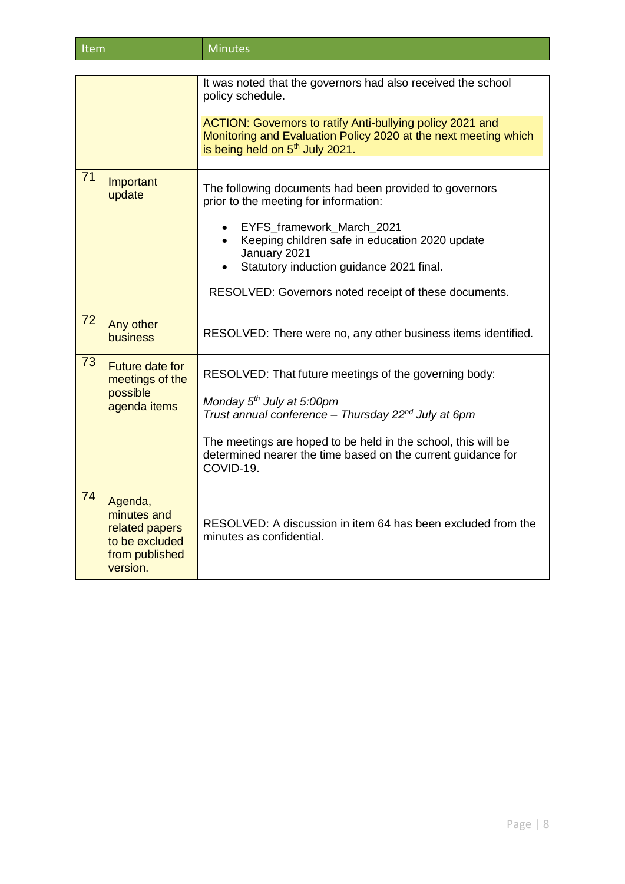| Item | <b>Minutes</b> |
|------|----------------|
|      |                |

|    |                                                                                          | It was noted that the governors had also received the school<br>policy schedule.<br>ACTION: Governors to ratify Anti-bullying policy 2021 and<br>Monitoring and Evaluation Policy 2020 at the next meeting which<br>is being held on 5 <sup>th</sup> July 2021.                                                 |
|----|------------------------------------------------------------------------------------------|-----------------------------------------------------------------------------------------------------------------------------------------------------------------------------------------------------------------------------------------------------------------------------------------------------------------|
| 71 | Important<br>update                                                                      | The following documents had been provided to governors<br>prior to the meeting for information:<br>• EYFS_framework_March_2021<br>Keeping children safe in education 2020 update<br>January 2021<br>Statutory induction guidance 2021 final.<br>RESOLVED: Governors noted receipt of these documents.           |
| 72 | Any other<br>business                                                                    | RESOLVED: There were no, any other business items identified.                                                                                                                                                                                                                                                   |
| 73 | <b>Future date for</b><br>meetings of the<br>possible<br>agenda items                    | RESOLVED: That future meetings of the governing body:<br>Monday 5 <sup>th</sup> July at 5:00pm<br>Trust annual conference - Thursday 22 <sup>nd</sup> July at 6pm<br>The meetings are hoped to be held in the school, this will be<br>determined nearer the time based on the current guidance for<br>COVID-19. |
| 74 | Agenda,<br>minutes and<br>related papers<br>to be excluded<br>from published<br>version. | RESOLVED: A discussion in item 64 has been excluded from the<br>minutes as confidential.                                                                                                                                                                                                                        |